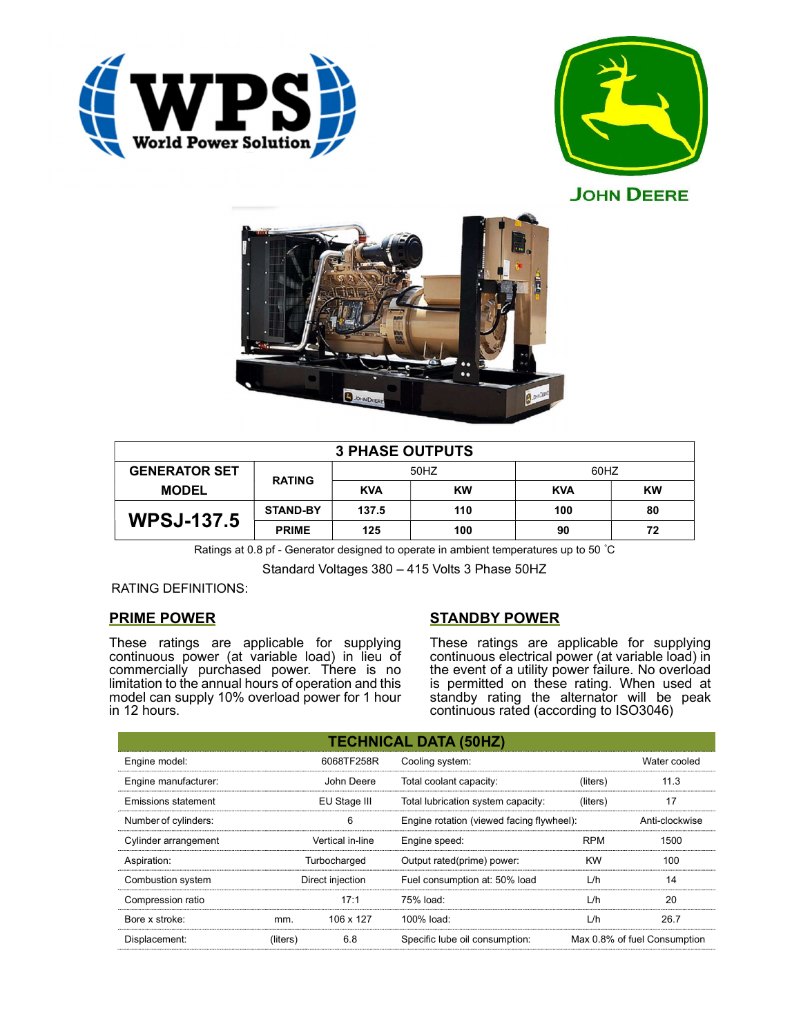



**JOHN DEERE** 



| <b>3 PHASE OUTPUTS</b> |                 |            |           |            |    |  |  |
|------------------------|-----------------|------------|-----------|------------|----|--|--|
| <b>GENERATOR SET</b>   | <b>RATING</b>   | 50HZ       |           | 60HZ       |    |  |  |
| <b>MODEL</b>           |                 | <b>KVA</b> | <b>KW</b> | <b>KVA</b> | KW |  |  |
| <b>WPSJ-137.5</b>      | <b>STAND-BY</b> | 137.5      | 110       | 100        | 80 |  |  |
|                        | <b>PRIME</b>    | 125        | 100       | 90         | 72 |  |  |

Ratings at 0.8 pf - Generator designed to operate in ambient temperatures up to 50 °C

Standard Voltages 380 – 415 Volts 3 Phase 50HZ

RATING DEFINITIONS:

# PRIME POWER

These ratings are applicable for supplying continuous power (at variable load) in lieu of commercially purchased power. There is no limitation to the annual hours of operation and this model can supply 10% overload power for 1 hour in 12 hours.

# STANDBY POWER

These ratings are applicable for supplying continuous electrical power (at variable load) in the event of a utility power failure. No overload is permitted on these rating. When used at standby rating the alternator will be peak continuous rated (according to ISO3046)

| <b>TECHNICAL DATA (50HZ)</b> |                  |            |                                           |            |                              |  |  |
|------------------------------|------------------|------------|-------------------------------------------|------------|------------------------------|--|--|
| Engine model:                |                  | 6068TF258R | Cooling system:                           |            | Water cooled                 |  |  |
| Engine manufacturer:         |                  | John Deere | Total coolant capacity:                   | (liters)   | 11.3                         |  |  |
| Emissions statement          | EU Stage III     |            | Total lubrication system capacity:        | (liters)   | 17                           |  |  |
| Number of cylinders:         | 6                |            | Engine rotation (viewed facing flywheel): |            | Anti-clockwise               |  |  |
| Cylinder arrangement         | Vertical in-line |            | Engine speed:                             | <b>RPM</b> | 1500                         |  |  |
| Aspiration:                  | Turbocharged     |            | Output rated(prime) power:                | <b>KW</b>  | 100                          |  |  |
| Combustion system            | Direct injection |            | Fuel consumption at: 50% load             | L/h        | 14                           |  |  |
| Compression ratio            |                  | 17:1       | 75% load:                                 | L/h        | 20                           |  |  |
| Bore x stroke:               | mm.              | 106 x 127  | 100% load:                                | L/h        | 26.7                         |  |  |
| Displacement:                | (liters)         | 6.8        | Specific lube oil consumption:            |            | Max 0.8% of fuel Consumption |  |  |